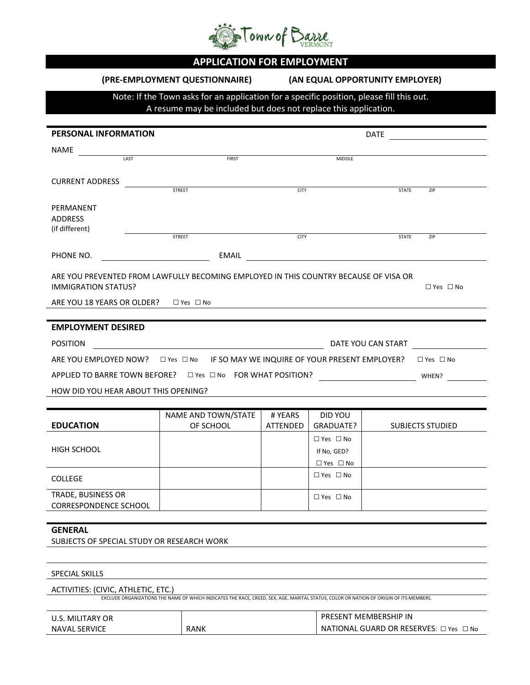

# **APPLICATION FOR EMPLOYMENT**

**(PRE-EMPLOYMENT QUESTIONNAIRE) (AN EQUAL OPPORTUNITY EMPLOYER)**

## Note: If the Town asks for an application for a specific position, please fill this out. A resume may be included but does not replace this application.

| PERSONAL INFORMATION                                                                                                                                                                |                    | DATE                                                                                                                                   |             |                                     |                                                                                            |  |  |  |
|-------------------------------------------------------------------------------------------------------------------------------------------------------------------------------------|--------------------|----------------------------------------------------------------------------------------------------------------------------------------|-------------|-------------------------------------|--------------------------------------------------------------------------------------------|--|--|--|
| NAME                                                                                                                                                                                |                    |                                                                                                                                        |             |                                     |                                                                                            |  |  |  |
|                                                                                                                                                                                     | LAST               | FIRST                                                                                                                                  |             | <b>MIDDLE</b>                       |                                                                                            |  |  |  |
| <b>CURRENT ADDRESS</b>                                                                                                                                                              |                    |                                                                                                                                        |             |                                     |                                                                                            |  |  |  |
|                                                                                                                                                                                     |                    | <b>STREET</b>                                                                                                                          | <b>CITY</b> |                                     | <b>STATE</b><br>ZIP                                                                        |  |  |  |
| PERMANENT<br><b>ADDRESS</b><br>(if different)                                                                                                                                       |                    |                                                                                                                                        |             |                                     |                                                                                            |  |  |  |
|                                                                                                                                                                                     |                    | <b>STREET</b>                                                                                                                          | <b>CITY</b> |                                     | <b>STATE</b><br>ZIP                                                                        |  |  |  |
| PHONE NO.                                                                                                                                                                           |                    |                                                                                                                                        |             |                                     | <u>EMAIL</u> <b>EMAIL EMAIL</b>                                                            |  |  |  |
| ARE YOU PREVENTED FROM LAWFULLY BECOMING EMPLOYED IN THIS COUNTRY BECAUSE OF VISA OR<br><b>IMMIGRATION STATUS?</b><br>$\Box$ Yes $\Box$ No<br>ARE YOU 18 YEARS OR OLDER? □ Yes □ No |                    |                                                                                                                                        |             |                                     |                                                                                            |  |  |  |
| <b>EMPLOYMENT DESIRED</b>                                                                                                                                                           |                    |                                                                                                                                        |             |                                     |                                                                                            |  |  |  |
| <b>POSITION</b>                                                                                                                                                                     | DATE YOU CAN START |                                                                                                                                        |             |                                     |                                                                                            |  |  |  |
|                                                                                                                                                                                     |                    |                                                                                                                                        |             |                                     | ARE YOU EMPLOYED NOW? □ Yes □ No IF SO MAY WE INQUIRE OF YOUR PRESENT EMPLOYER? □ Yes □ No |  |  |  |
|                                                                                                                                                                                     |                    |                                                                                                                                        |             |                                     |                                                                                            |  |  |  |
| HOW DID YOU HEAR ABOUT THIS OPENING?                                                                                                                                                |                    |                                                                                                                                        |             |                                     |                                                                                            |  |  |  |
|                                                                                                                                                                                     |                    |                                                                                                                                        |             |                                     |                                                                                            |  |  |  |
|                                                                                                                                                                                     |                    | NAME AND TOWN/STATE                                                                                                                    | # YEARS     | DID YOU                             |                                                                                            |  |  |  |
| <b>EDUCATION</b>                                                                                                                                                                    |                    | OF SCHOOL                                                                                                                              | ATTENDED    | GRADUATE?                           | <b>SUBJECTS STUDIED</b>                                                                    |  |  |  |
| <b>HIGH SCHOOL</b>                                                                                                                                                                  |                    |                                                                                                                                        |             | $\Box$ Yes $\Box$ No<br>If No, GED? |                                                                                            |  |  |  |
|                                                                                                                                                                                     |                    |                                                                                                                                        |             | $\Box$ Yes $\Box$ No                |                                                                                            |  |  |  |
| <b>COLLEGE</b>                                                                                                                                                                      |                    |                                                                                                                                        |             | $\Box$ Yes $\Box$ No                |                                                                                            |  |  |  |
| TRADE, BUSINESS OR<br><b>CORRESPONDENCE SCHOOL</b>                                                                                                                                  |                    |                                                                                                                                        |             | $\Box$ Yes $\Box$ No                |                                                                                            |  |  |  |
| <b>GENERAL</b><br>SUBJECTS OF SPECIAL STUDY OR RESEARCH WORK                                                                                                                        |                    |                                                                                                                                        |             |                                     |                                                                                            |  |  |  |
| <b>SPECIAL SKILLS</b>                                                                                                                                                               |                    |                                                                                                                                        |             |                                     |                                                                                            |  |  |  |
| ACTIVITIES: (CIVIC, ATHLETIC, ETC.)                                                                                                                                                 |                    |                                                                                                                                        |             |                                     |                                                                                            |  |  |  |
|                                                                                                                                                                                     |                    | EXCLUDE ORGANIZATIONS THE NAME OF WHICH INDICATES THE RACE, CREED, SEX. AGE, MARITAL STATUS, COLOR OR NATION OF ORIGIN OF ITS MEMBERS. |             |                                     |                                                                                            |  |  |  |
| <b>U.S. MILITARY OR</b>                                                                                                                                                             |                    |                                                                                                                                        |             |                                     | PRESENT MEMBERSHIP IN                                                                      |  |  |  |
| <b>NAVAL SERVICE</b>                                                                                                                                                                |                    | <b>RANK</b>                                                                                                                            |             |                                     | NATIONAL GUARD OR RESERVES: □ Yes □ No                                                     |  |  |  |